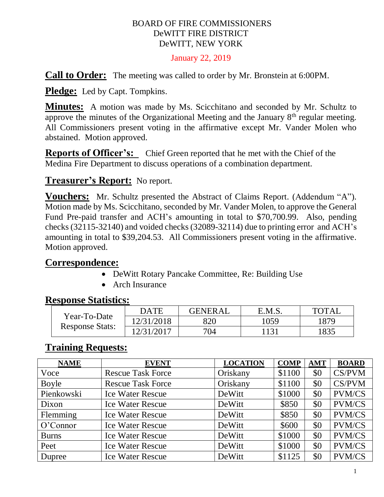#### BOARD OF FIRE COMMISSIONERS DeWITT FIRE DISTRICT DeWITT, NEW YORK

#### January 22, 2019

**Call to Order:** The meeting was called to order by Mr. Bronstein at 6:00PM.

Pledge: Led by Capt. Tompkins.

**Minutes:** A motion was made by Ms. Scicchitano and seconded by Mr. Schultz to approve the minutes of the Organizational Meeting and the January  $8<sup>th</sup>$  regular meeting. All Commissioners present voting in the affirmative except Mr. Vander Molen who abstained. Motion approved.

**Reports of Officer's:** Chief Green reported that he met with the Chief of the Medina Fire Department to discuss operations of a combination department.

### **Treasurer's Report:** No report.

**Vouchers:** Mr. Schultz presented the Abstract of Claims Report. (Addendum "A"). Motion made by Ms. Scicchitano, seconded by Mr. Vander Molen, to approve the General Fund Pre-paid transfer and ACH's amounting in total to \$70,700.99. Also, pending checks (32115-32140) and voided checks (32089-32114) due to printing error and ACH's amounting in total to \$39,204.53. All Commissioners present voting in the affirmative. Motion approved.

### **Correspondence:**

- DeWitt Rotary Pancake Committee, Re: Building Use
- Arch Insurance

### **Response Statistics:**

| Year-To-Date<br><b>Response Stats:</b> | <b>DATE</b> | <b>GENERAL</b> | E.M.S. | <b>TOTAL</b> |
|----------------------------------------|-------------|----------------|--------|--------------|
|                                        | 12/31/2018  | 820            | 1059   | 879          |
|                                        | 12/31/2017  | 704            | -131   | 1835         |

## **Training Requests:**

| <b>NAME</b>  | <b>EVENT</b>             | <b>LOCATION</b> | <b>COMP</b> | <b>AMT</b> | <b>BOARD</b>  |
|--------------|--------------------------|-----------------|-------------|------------|---------------|
| Voce         | <b>Rescue Task Force</b> | Oriskany        | \$1100      | \$0        | CS/PVM        |
| Boyle        | <b>Rescue Task Force</b> | Oriskany        | \$1100      | \$0        | CS/PVM        |
| Pienkowski   | <b>Ice Water Rescue</b>  | DeWitt          | \$1000      | \$0        | <b>PVM/CS</b> |
| Dixon        | <b>Ice Water Rescue</b>  | DeWitt          | \$850       | \$0        | <b>PVM/CS</b> |
| Flemming     | <b>Ice Water Rescue</b>  | DeWitt          | \$850       | \$0        | <b>PVM/CS</b> |
| O'Connect    | <b>Ice Water Rescue</b>  | DeWitt          | \$600       | \$0        | <b>PVM/CS</b> |
| <b>Burns</b> | <b>Ice Water Rescue</b>  | DeWitt          | \$1000      | \$0        | <b>PVM/CS</b> |
| Peet         | <b>Ice Water Rescue</b>  | DeWitt          | \$1000      | \$0        | <b>PVM/CS</b> |
| Dupree       | <b>Ice Water Rescue</b>  | DeWitt          | \$1125      | \$0        | <b>PVM/CS</b> |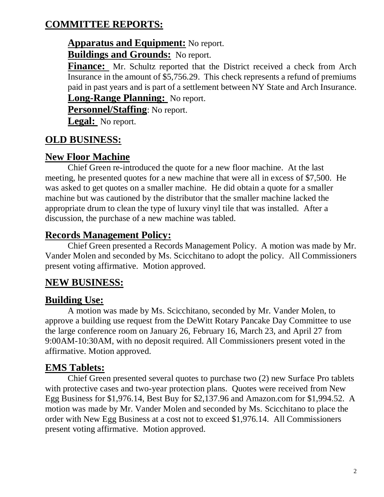# **COMMITTEE REPORTS:**

### **Apparatus and Equipment:** No report. **Buildings and Grounds:** No report.

Finance: Mr. Schultz reported that the District received a check from Arch Insurance in the amount of \$5,756.29. This check represents a refund of premiums paid in past years and is part of a settlement between NY State and Arch Insurance.

**Long-Range Planning:** No report.

**Personnel/Staffing**: No report.

**Legal:** No report.

# **OLD BUSINESS:**

## **New Floor Machine**

Chief Green re-introduced the quote for a new floor machine. At the last meeting, he presented quotes for a new machine that were all in excess of \$7,500. He was asked to get quotes on a smaller machine. He did obtain a quote for a smaller machine but was cautioned by the distributor that the smaller machine lacked the appropriate drum to clean the type of luxury vinyl tile that was installed. After a discussion, the purchase of a new machine was tabled.

## **Records Management Policy:**

Chief Green presented a Records Management Policy. A motion was made by Mr. Vander Molen and seconded by Ms. Scicchitano to adopt the policy. All Commissioners present voting affirmative. Motion approved.

# **NEW BUSINESS:**

# **Building Use:**

A motion was made by Ms. Scicchitano, seconded by Mr. Vander Molen, to approve a building use request from the DeWitt Rotary Pancake Day Committee to use the large conference room on January 26, February 16, March 23, and April 27 from 9:00AM-10:30AM, with no deposit required. All Commissioners present voted in the affirmative. Motion approved.

# **EMS Tablets:**

Chief Green presented several quotes to purchase two (2) new Surface Pro tablets with protective cases and two-year protection plans. Quotes were received from New Egg Business for \$1,976.14, Best Buy for \$2,137.96 and Amazon.com for \$1,994.52. A motion was made by Mr. Vander Molen and seconded by Ms. Scicchitano to place the order with New Egg Business at a cost not to exceed \$1,976.14. All Commissioners present voting affirmative. Motion approved.